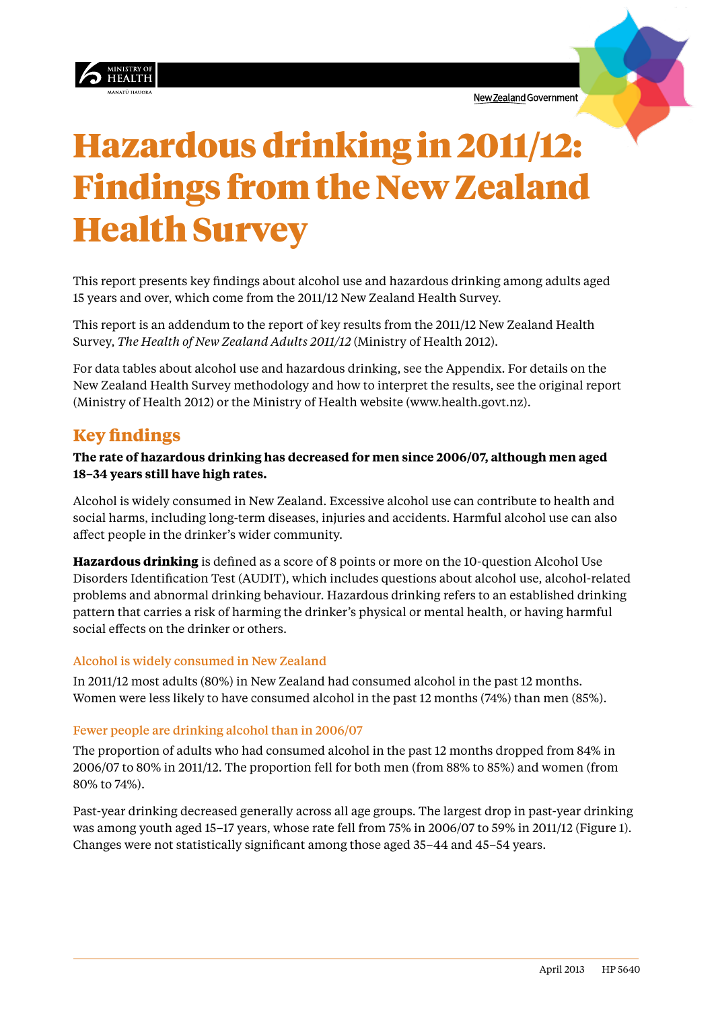



# Hazardous drinking in 2011/12: Findings from the New Zealand Health Survey

This report presents key findings about alcohol use and hazardous drinking among adults aged 15 years and over, which come from the 2011/12 New Zealand Health Survey.

This report is an addendum to the report of key results from the 2011/12 New Zealand Health Survey, *The Health of New Zealand Adults 2011/12* (Ministry of Health 2012).

For data tables about alcohol use and hazardous drinking, see the Appendix. For details on the New Zealand Health Survey methodology and how to interpret the results, see the original report (Ministry of Health 2012) or the Ministry of Health website (www.health.govt.nz).

## **Key findings**

### **The rate of hazardous drinking has decreased for men since 2006/07, although men aged 18–34 years still have high rates.**

Alcohol is widely consumed in New Zealand. Excessive alcohol use can contribute to health and social harms, including long-term diseases, injuries and accidents. Harmful alcohol use can also affect people in the drinker's wider community.

**Hazardous drinking** is defined as a score of 8 points or more on the 10-question Alcohol Use Disorders Identification Test (AUDIT), which includes questions about alcohol use, alcohol-related problems and abnormal drinking behaviour. Hazardous drinking refers to an established drinking pattern that carries a risk of harming the drinker's physical or mental health, or having harmful social effects on the drinker or others.

#### Alcohol is widely consumed in New Zealand

In 2011/12 most adults (80%) in New Zealand had consumed alcohol in the past 12 months. Women were less likely to have consumed alcohol in the past 12 months (74%) than men (85%).

#### Fewer people are drinking alcohol than in 2006/07

The proportion of adults who had consumed alcohol in the past 12 months dropped from 84% in 2006/07 to 80% in 2011/12. The proportion fell for both men (from 88% to 85%) and women (from 80% to 74%).

Past-year drinking decreased generally across all age groups. The largest drop in past-year drinking was among youth aged 15–17 years, whose rate fell from 75% in 2006/07 to 59% in 2011/12 [\(Figure 1\)](#page-1-0). Changes were not statistically significant among those aged 35–44 and 45–54 years.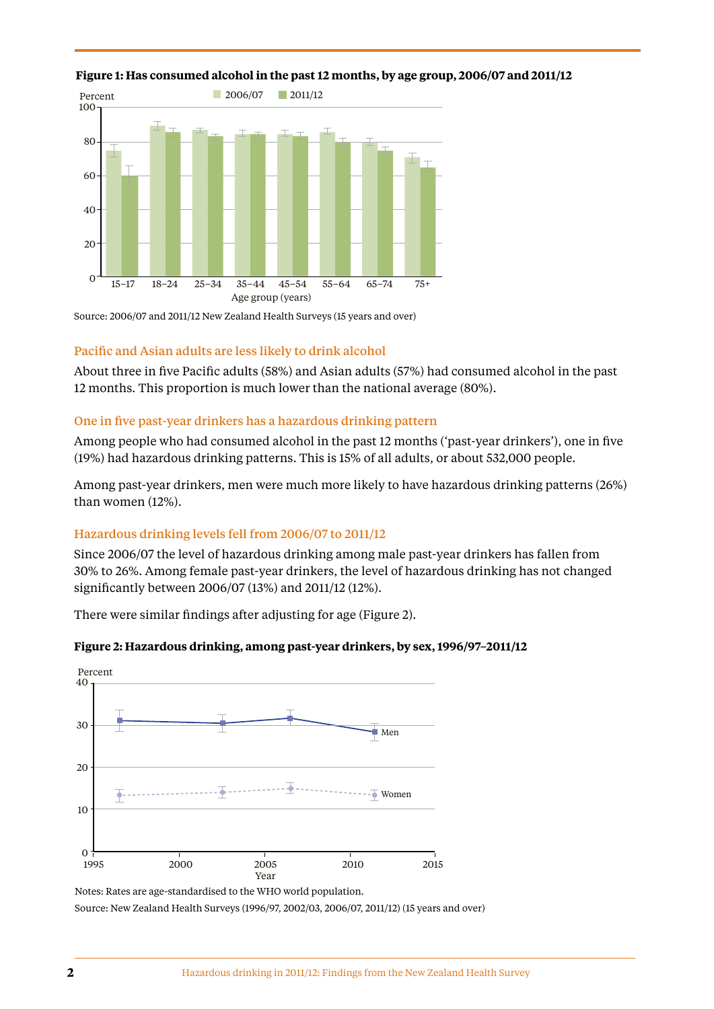

#### <span id="page-1-0"></span>**Figure 1: Has consumed alcohol in the past 12 months, by age group, 2006/07 and 2011/12**

Source: 2006/07 and 2011/12 New Zealand Health Surveys (15 years and over)

#### Pacific and Asian adults are less likely to drink alcohol

About three in five Pacific adults (58%) and Asian adults (57%) had consumed alcohol in the past 12 months. This proportion is much lower than the national average (80%).

#### One in five past-year drinkers has a hazardous drinking pattern

Among people who had consumed alcohol in the past 12 months ('past-year drinkers'), one in five (19%) had hazardous drinking patterns. This is 15% of all adults, or about 532,000 people.

Among past-year drinkers, men were much more likely to have hazardous drinking patterns (26%) than women (12%).

#### Hazardous drinking levels fell from 2006/07 to 2011/12

Since 2006/07 the level of hazardous drinking among male past-year drinkers has fallen from 30% to 26%. Among female past-year drinkers, the level of hazardous drinking has not changed significantly between 2006/07 (13%) and 2011/12 (12%).

There were similar findings after adjusting for age ([Figure 2\)](#page-1-1).



#### <span id="page-1-1"></span>**Figure 2: Hazardous drinking, among past-year drinkers, by sex, 1996/97–2011/12**

Notes: Rates are age-standardised to the WHO world population. Source: New Zealand Health Surveys (1996/97, 2002/03, 2006/07, 2011/12) (15 years and over)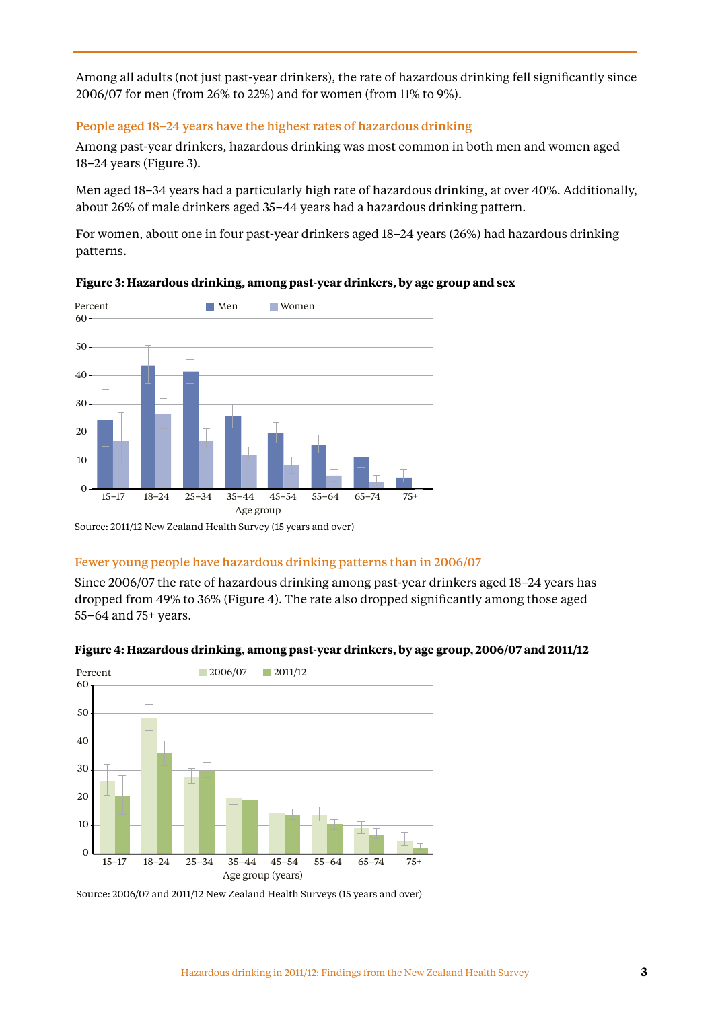Among all adults (not just past-year drinkers), the rate of hazardous drinking fell significantly since 2006/07 for men (from 26% to 22%) and for women (from 11% to 9%).

#### People aged 18–24 years have the highest rates of hazardous drinking

Among past-year drinkers, hazardous drinking was most common in both men and women aged 18–24 years ([Figure 3](#page-2-0)).

Men aged 18–34 years had a particularly high rate of hazardous drinking, at over 40%. Additionally, about 26% of male drinkers aged 35–44 years had a hazardous drinking pattern.

For women, about one in four past-year drinkers aged 18–24 years (26%) had hazardous drinking patterns.



#### <span id="page-2-0"></span>**Figure 3: Hazardous drinking, among past-year drinkers, by age group and sex**

Source: 2011/12 New Zealand Health Survey (15 years and over)

#### Fewer young people have hazardous drinking patterns than in 2006/07

Since 2006/07 the rate of hazardous drinking among past-year drinkers aged 18–24 years has dropped from 49% to 36% [\(Figure 4](#page-2-1)). The rate also dropped significantly among those aged 55–64 and 75+ years.



#### <span id="page-2-1"></span>**Figure 4: Hazardous drinking, among past-year drinkers, by age group, 2006/07 and 2011/12**

Source: 2006/07 and 2011/12 New Zealand Health Surveys (15 years and over)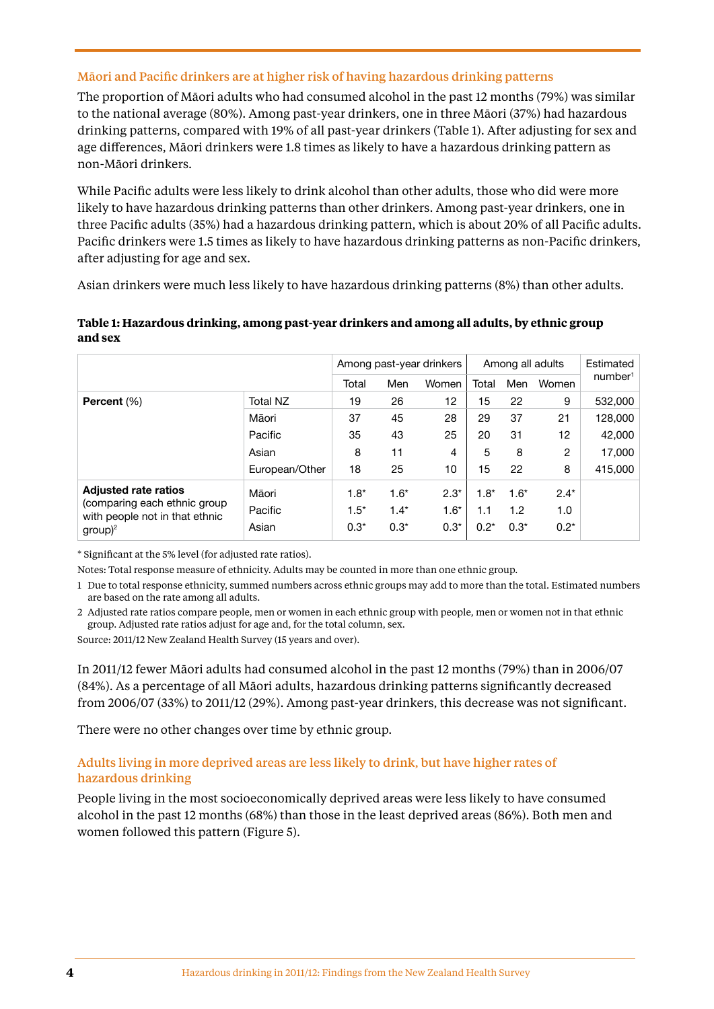#### Māori and Pacific drinkers are at higher risk of having hazardous drinking patterns

The proportion of Māori adults who had consumed alcohol in the past 12 months (79%) was similar to the national average (80%). Among past-year drinkers, one in three Māori (37%) had hazardous drinking patterns, compared with 19% of all past-year drinkers ([Table 1\)](#page-3-0). After adjusting for sex and age differences, Māori drinkers were 1.8 times as likely to have a hazardous drinking pattern as non-Māori drinkers.

While Pacific adults were less likely to drink alcohol than other adults, those who did were more likely to have hazardous drinking patterns than other drinkers. Among past-year drinkers, one in three Pacific adults (35%) had a hazardous drinking pattern, which is about 20% of all Pacific adults. Pacific drinkers were 1.5 times as likely to have hazardous drinking patterns as non-Pacific drinkers, after adjusting for age and sex.

Asian drinkers were much less likely to have hazardous drinking patterns (8%) than other adults.

#### <span id="page-3-0"></span>**Table 1: Hazardous drinking, among past-year drinkers and among all adults, by ethnic group and sex**

|                                                                                                             |                |        | Among past-year drinkers |        | Among all adults | Estimated |                |                     |
|-------------------------------------------------------------------------------------------------------------|----------------|--------|--------------------------|--------|------------------|-----------|----------------|---------------------|
|                                                                                                             |                | Total  | Men                      | Women  | Total            | Men       | Women          | number <sup>1</sup> |
| Percent (%)                                                                                                 | Total NZ       | 19     | 26                       | 12     | 15               | 22        | 9              | 532,000             |
|                                                                                                             | Māori          | 37     | 45                       | 28     | 29               | 37        | 21             | 128,000             |
|                                                                                                             | Pacific        | 35     | 43                       | 25     | 20               | 31        | 12             | 42,000              |
|                                                                                                             | Asian          | 8      | 11                       | 4      | 5                | 8         | $\overline{2}$ | 17,000              |
|                                                                                                             | European/Other | 18     | 25                       | 10     | 15               | 22        | 8              | 415,000             |
| <b>Adjusted rate ratios</b><br>(comparing each ethnic group<br>with people not in that ethnic<br>$group)^2$ | Māori          | $1.8*$ | $1.6*$                   | $2.3*$ | $1.8*$           | $1.6*$    | $2.4*$         |                     |
|                                                                                                             | Pacific        | $1.5*$ | $1.4*$                   | $1.6*$ | 1.1              | 1.2       | 1.0            |                     |
|                                                                                                             | Asian          | $0.3*$ | $0.3*$                   | $0.3*$ | $0.2*$           | $0.3*$    | $0.2*$         |                     |

\* Significant at the 5% level (for adjusted rate ratios).

Notes: Total response measure of ethnicity. Adults may be counted in more than one ethnic group.

1 Due to total response ethnicity, summed numbers across ethnic groups may add to more than the total. Estimated numbers are based on the rate among all adults.

2 Adjusted rate ratios compare people, men or women in each ethnic group with people, men or women not in that ethnic group. Adjusted rate ratios adjust for age and, for the total column, sex.

Source: 2011/12 New Zealand Health Survey (15 years and over).

In 2011/12 fewer Māori adults had consumed alcohol in the past 12 months (79%) than in 2006/07 (84%). As a percentage of all Māori adults, hazardous drinking patterns significantly decreased from 2006/07 (33%) to 2011/12 (29%). Among past-year drinkers, this decrease was not significant.

There were no other changes over time by ethnic group.

#### Adults living in more deprived areas are less likely to drink, but have higher rates of hazardous drinking

People living in the most socioeconomically deprived areas were less likely to have consumed alcohol in the past 12 months (68%) than those in the least deprived areas (86%). Both men and women followed this pattern [\(Figure 5](#page-4-0)).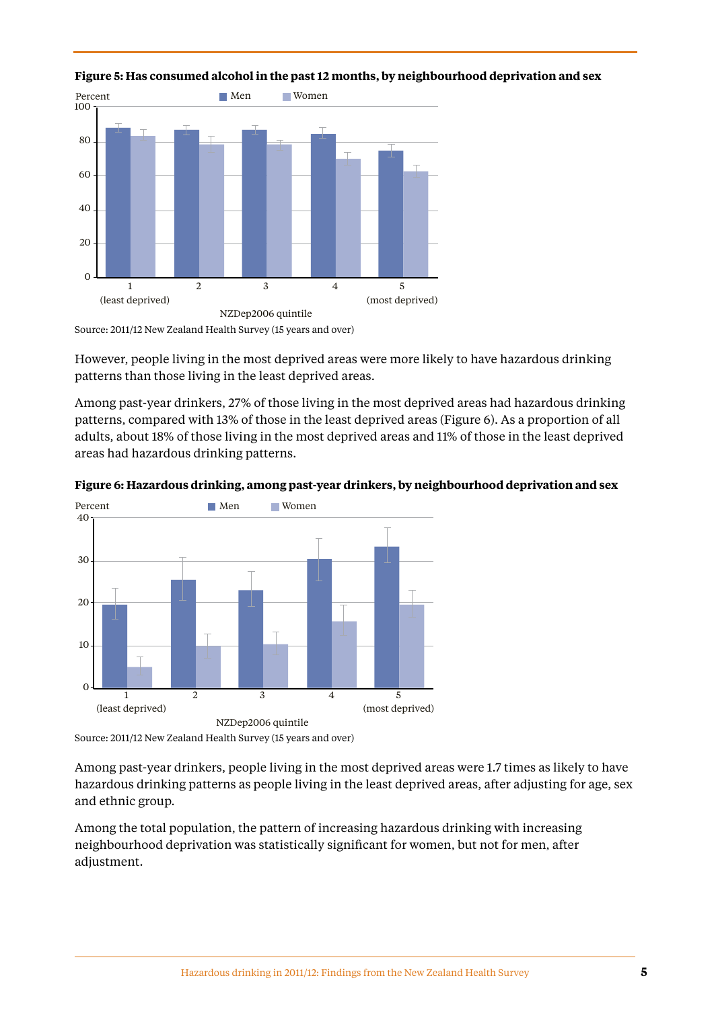

<span id="page-4-0"></span>

However, people living in the most deprived areas were more likely to have hazardous drinking patterns than those living in the least deprived areas.

Among past-year drinkers, 27% of those living in the most deprived areas had hazardous drinking patterns, compared with 13% of those in the least deprived areas [\(Figure 6](#page-4-1)). As a proportion of all adults, about 18% of those living in the most deprived areas and 11% of those in the least deprived areas had hazardous drinking patterns.



#### <span id="page-4-1"></span>**Figure 6: Hazardous drinking, among past-year drinkers, by neighbourhood deprivation and sex**

Among past-year drinkers, people living in the most deprived areas were 1.7 times as likely to have hazardous drinking patterns as people living in the least deprived areas, after adjusting for age, sex and ethnic group.

Among the total population, the pattern of increasing hazardous drinking with increasing neighbourhood deprivation was statistically significant for women, but not for men, after adjustment.

Source: 2011/12 New Zealand Health Survey (15 years and over)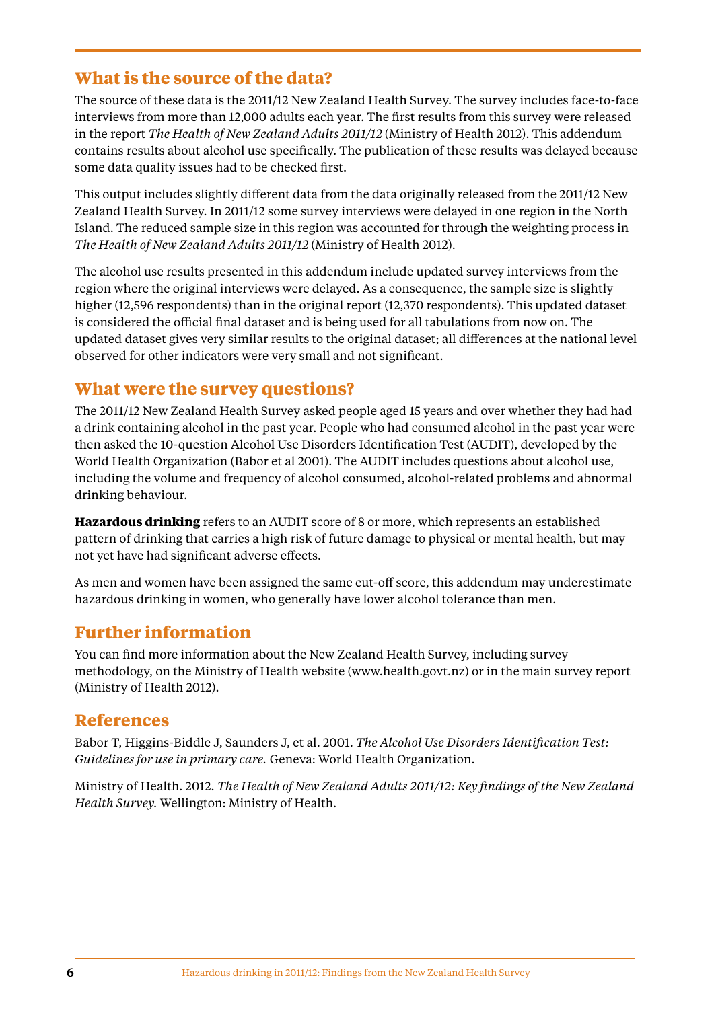## **What is the source of the data?**

The source of these data is the 2011/12 New Zealand Health Survey. The survey includes face-to-face interviews from more than 12,000 adults each year. The first results from this survey were released in the report *The Health of New Zealand Adults 2011/12* (Ministry of Health 2012). This addendum contains results about alcohol use specifically. The publication of these results was delayed because some data quality issues had to be checked first.

This output includes slightly different data from the data originally released from the 2011/12 New Zealand Health Survey. In 2011/12 some survey interviews were delayed in one region in the North Island. The reduced sample size in this region was accounted for through the weighting process in *The Health of New Zealand Adults 2011/12* (Ministry of Health 2012).

The alcohol use results presented in this addendum include updated survey interviews from the region where the original interviews were delayed. As a consequence, the sample size is slightly higher (12,596 respondents) than in the original report (12,370 respondents). This updated dataset is considered the official final dataset and is being used for all tabulations from now on. The updated dataset gives very similar results to the original dataset; all differences at the national level observed for other indicators were very small and not significant.

## **What were the survey questions?**

The 2011/12 New Zealand Health Survey asked people aged 15 years and over whether they had had a drink containing alcohol in the past year. People who had consumed alcohol in the past year were then asked the 10-question Alcohol Use Disorders Identification Test (AUDIT), developed by the World Health Organization (Babor et al 2001). The AUDIT includes questions about alcohol use, including the volume and frequency of alcohol consumed, alcohol-related problems and abnormal drinking behaviour.

**Hazardous drinking** refers to an AUDIT score of 8 or more, which represents an established pattern of drinking that carries a high risk of future damage to physical or mental health, but may not yet have had significant adverse effects.

As men and women have been assigned the same cut-off score, this addendum may underestimate hazardous drinking in women, who generally have lower alcohol tolerance than men.

## **Further information**

You can find more information about the New Zealand Health Survey, including survey methodology, on the Ministry of Health website [\(www.health.govt.nz\)](http://www.health.govt.nz) or in the main survey report (Ministry of Health 2012).

## **References**

Babor T, Higgins-Biddle J, Saunders J, et al. 2001. *The Alcohol Use Disorders Identification Test: Guidelines for use in primary care.* Geneva: World Health Organization.

Ministry of Health. 2012. *The Health of New Zealand Adults 2011/12: Key findings of the New Zealand Health Survey.* Wellington: Ministry of Health.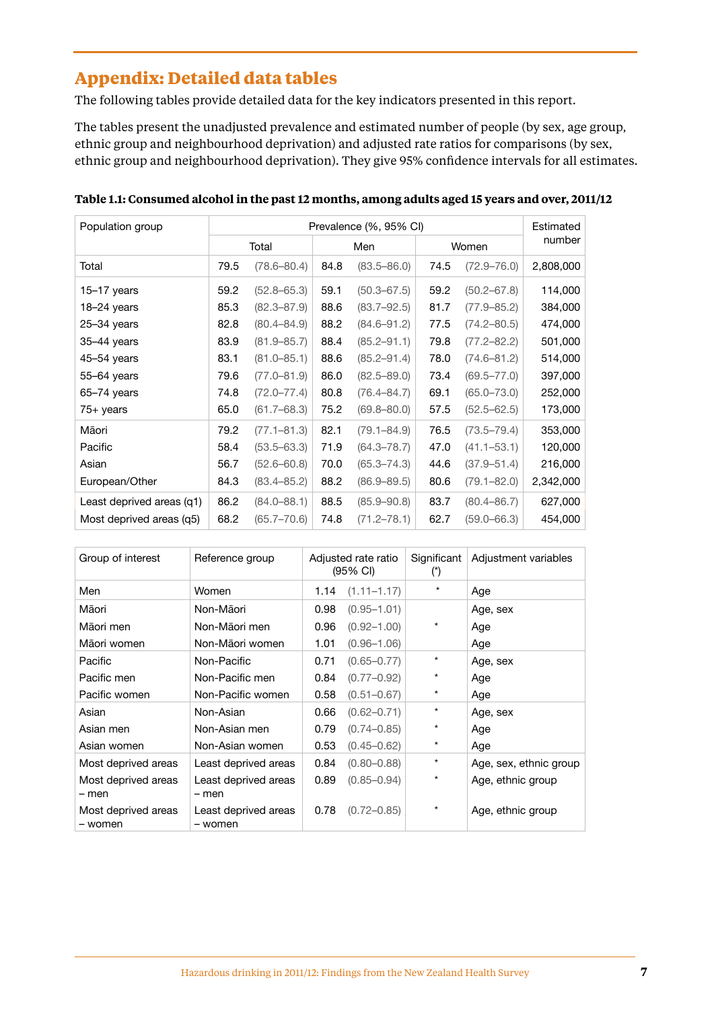# **Appendix: Detailed data tables**

The following tables provide detailed data for the key indicators presented in this report.

The tables present the unadjusted prevalence and estimated number of people (by sex, age group, ethnic group and neighbourhood deprivation) and adjusted rate ratios for comparisons (by sex, ethnic group and neighbourhood deprivation). They give 95% confidence intervals for all estimates.

| Population group          | Prevalence (%, 95% CI) |                 |      |                 |       |                 | Estimated |  |
|---------------------------|------------------------|-----------------|------|-----------------|-------|-----------------|-----------|--|
|                           |                        | Total           |      | Men             | Women |                 | number    |  |
| Total                     | 79.5                   | $(78.6 - 80.4)$ | 84.8 | $(83.5 - 86.0)$ | 74.5  | $(72.9 - 76.0)$ | 2,808,000 |  |
| 15-17 years               | 59.2                   | $(52.8 - 65.3)$ | 59.1 | $(50.3 - 67.5)$ | 59.2  | $(50.2 - 67.8)$ | 114,000   |  |
| 18-24 years               | 85.3                   | $(82.3 - 87.9)$ | 88.6 | $(83.7 - 92.5)$ | 81.7  | $(77.9 - 85.2)$ | 384,000   |  |
| 25-34 years               | 82.8                   | $(80.4 - 84.9)$ | 88.2 | $(84.6 - 91.2)$ | 77.5  | $(74.2 - 80.5)$ | 474,000   |  |
| 35-44 years               | 83.9                   | $(81.9 - 85.7)$ | 88.4 | $(85.2 - 91.1)$ | 79.8  | $(77.2 - 82.2)$ | 501,000   |  |
| 45-54 years               | 83.1                   | $(81.0 - 85.1)$ | 88.6 | $(85.2 - 91.4)$ | 78.0  | $(74.6 - 81.2)$ | 514,000   |  |
| 55-64 years               | 79.6                   | $(77.0 - 81.9)$ | 86.0 | $(82.5 - 89.0)$ | 73.4  | $(69.5 - 77.0)$ | 397,000   |  |
| $65 - 74$ years           | 74.8                   | $(72.0 - 77.4)$ | 80.8 | $(76.4 - 84.7)$ | 69.1  | $(65.0 - 73.0)$ | 252,000   |  |
| 75+ years                 | 65.0                   | $(61.7 - 68.3)$ | 75.2 | $(69.8 - 80.0)$ | 57.5  | $(52.5 - 62.5)$ | 173,000   |  |
| Māori                     | 79.2                   | $(77.1 - 81.3)$ | 82.1 | $(79.1 - 84.9)$ | 76.5  | $(73.5 - 79.4)$ | 353,000   |  |
| Pacific                   | 58.4                   | $(53.5 - 63.3)$ | 71.9 | $(64.3 - 78.7)$ | 47.0  | $(41.1 - 53.1)$ | 120,000   |  |
| Asian                     | 56.7                   | $(52.6 - 60.8)$ | 70.0 | $(65.3 - 74.3)$ | 44.6  | $(37.9 - 51.4)$ | 216,000   |  |
| European/Other            | 84.3                   | $(83.4 - 85.2)$ | 88.2 | $(86.9 - 89.5)$ | 80.6  | $(79.1 - 82.0)$ | 2,342,000 |  |
| Least deprived areas (q1) | 86.2                   | $(84.0 - 88.1)$ | 88.5 | $(85.9 - 90.8)$ | 83.7  | $(80.4 - 86.7)$ | 627,000   |  |
| Most deprived areas (q5)  | 68.2                   | $(65.7 - 70.6)$ | 74.8 | $(71.2 - 78.1)$ | 62.7  | $(59.0 - 66.3)$ | 454,000   |  |

**Table 1.1: Consumed alcohol in the past 12 months, among adults aged 15 years and over, 2011/12** 

| Group of interest              | Reference group                 |      | Adjusted rate ratio<br>$(95% \text{ Cl})$ | Significant<br>$(^{\circ})$ | Adjustment variables   |
|--------------------------------|---------------------------------|------|-------------------------------------------|-----------------------------|------------------------|
| Men                            | Women                           | 1.14 | $(1.11 - 1.17)$                           | $\star$                     | Age                    |
| Māori                          | Non-Māori                       | 0.98 | $(0.95 - 1.01)$                           |                             | Age, sex               |
| Māori men                      | Non-Māori men                   | 0.96 | $(0.92 - 1.00)$                           | *                           | Age                    |
| Māori women                    | Non-Māori women                 | 1.01 | $(0.96 - 1.06)$                           |                             | Age                    |
| Pacific                        | Non-Pacific                     | 0.71 | $(0.65 - 0.77)$                           | $^\star$                    | Age, sex               |
| Pacific men                    | Non-Pacific men                 | 0.84 | $(0.77 - 0.92)$                           | $\star$                     | Age                    |
| Pacific women                  | Non-Pacific women               | 0.58 | $(0.51 - 0.67)$                           | $^\star$                    | Age                    |
| Asian                          | Non-Asian                       | 0.66 | $(0.62 - 0.71)$                           | $^\star$                    | Age, sex               |
| Asian men                      | Non-Asian men                   | 0.79 | $(0.74 - 0.85)$                           | $^\star$                    | Age                    |
| Asian women                    | Non-Asian women                 | 0.53 | $(0.45 - 0.62)$                           | $^\star$                    | Age                    |
| Most deprived areas            | Least deprived areas            | 0.84 | $(0.80 - 0.88)$                           | $\star$                     | Age, sex, ethnic group |
| Most deprived areas<br>– men   | Least deprived areas<br>– men   | 0.89 | $(0.85 - 0.94)$                           | $\star$                     | Age, ethnic group      |
| Most deprived areas<br>– women | Least deprived areas<br>– women | 0.78 | $(0.72 - 0.85)$                           | *                           | Age, ethnic group      |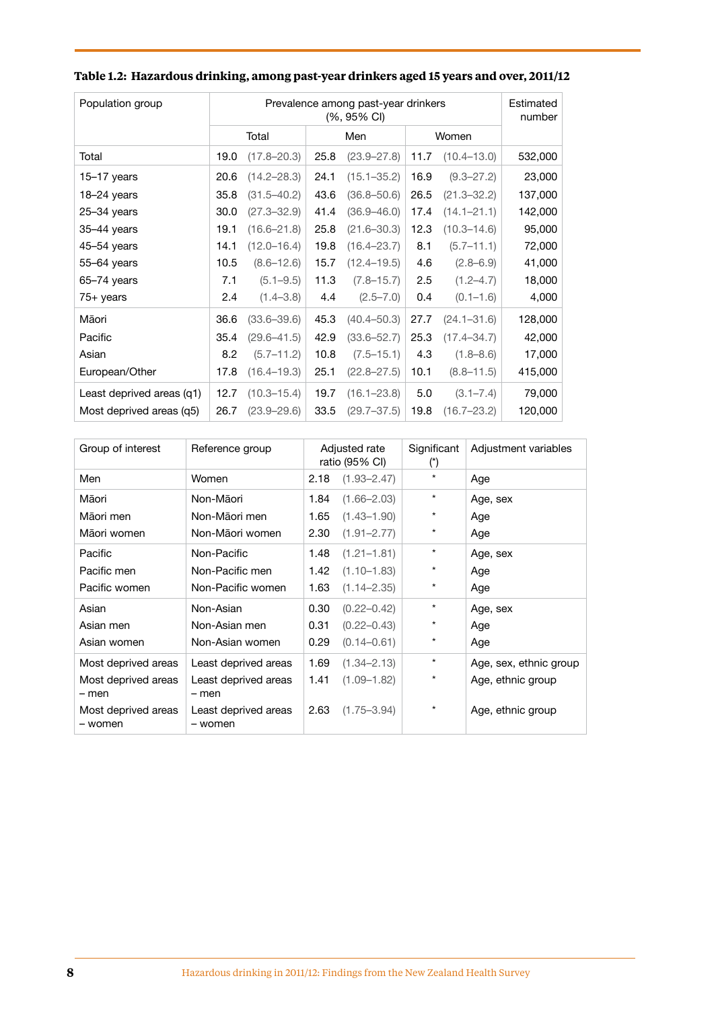| Population group          | Prevalence among past-year drinkers<br>(%, 95% CI) |                 |      |                 |      |                 |         |
|---------------------------|----------------------------------------------------|-----------------|------|-----------------|------|-----------------|---------|
|                           |                                                    | Total           |      | Men             |      | Women           |         |
| Total                     | 19.0                                               | $(17.8 - 20.3)$ | 25.8 | $(23.9 - 27.8)$ | 11.7 | $(10.4 - 13.0)$ | 532,000 |
| $15-17$ years             | 20.6                                               | $(14.2 - 28.3)$ | 24.1 | $(15.1 - 35.2)$ | 16.9 | $(9.3 - 27.2)$  | 23,000  |
| 18-24 years               | 35.8                                               | $(31.5 - 40.2)$ | 43.6 | $(36.8 - 50.6)$ | 26.5 | $(21.3 - 32.2)$ | 137,000 |
| 25-34 years               | 30.0                                               | $(27.3 - 32.9)$ | 41.4 | $(36.9 - 46.0)$ | 17.4 | $(14.1 - 21.1)$ | 142,000 |
| 35-44 years               | 19.1                                               | $(16.6 - 21.8)$ | 25.8 | $(21.6 - 30.3)$ | 12.3 | $(10.3 - 14.6)$ | 95,000  |
| $45 - 54$ years           | 14.1                                               | $(12.0 - 16.4)$ | 19.8 | $(16.4 - 23.7)$ | 8.1  | $(5.7 - 11.1)$  | 72,000  |
| $55-64$ years             | 10.5                                               | $(8.6 - 12.6)$  | 15.7 | $(12.4 - 19.5)$ | 4.6  | $(2.8 - 6.9)$   | 41,000  |
| $65 - 74$ years           | 7.1                                                | $(5.1 - 9.5)$   | 11.3 | $(7.8 - 15.7)$  | 2.5  | $(1.2 - 4.7)$   | 18,000  |
| $75+$ years               | 2.4                                                | $(1.4 - 3.8)$   | 4.4  | $(2.5 - 7.0)$   | 0.4  | $(0.1 - 1.6)$   | 4,000   |
| Māori                     | 36.6                                               | $(33.6 - 39.6)$ | 45.3 | $(40.4 - 50.3)$ | 27.7 | $(24.1 - 31.6)$ | 128,000 |
| Pacific                   | 35.4                                               | $(29.6 - 41.5)$ | 42.9 | $(33.6 - 52.7)$ | 25.3 | $(17.4 - 34.7)$ | 42,000  |
| Asian                     | 8.2                                                | $(5.7 - 11.2)$  | 10.8 | $(7.5 - 15.1)$  | 4.3  | $(1.8 - 8.6)$   | 17,000  |
| European/Other            | 17.8                                               | $(16.4 - 19.3)$ | 25.1 | $(22.8 - 27.5)$ | 10.1 | $(8.8 - 11.5)$  | 415,000 |
| Least deprived areas (q1) | 12.7                                               | $(10.3 - 15.4)$ | 19.7 | $(16.1 - 23.8)$ | 5.0  | $(3.1 - 7.4)$   | 79,000  |
| Most deprived areas (q5)  | 26.7                                               | $(23.9 - 29.6)$ | 33.5 | $(29.7 - 37.5)$ | 19.8 | $(16.7 - 23.2)$ | 120,000 |

## **Table 1.2: Hazardous drinking, among past-year drinkers aged 15 years and over, 2011/12**

| Group of interest              | Reference group                 | Adjusted rate<br>ratio (95% CI) |                 | Significant<br>$(\tilde{\ })$ | Adjustment variables   |
|--------------------------------|---------------------------------|---------------------------------|-----------------|-------------------------------|------------------------|
| Men                            | Women                           | 2.18                            | $(1.93 - 2.47)$ | $\star$                       | Age                    |
| Māori                          | Non-Māori                       | 1.84                            | $(1.66 - 2.03)$ | $\star$                       | Age, sex               |
| Māori men                      | Non-Māori men                   | 1.65                            | $(1.43 - 1.90)$ | $^\star$                      | Age                    |
| Māori women                    | Non-Māori women                 | 2.30                            | $(1.91 - 2.77)$ | $\star$                       | Age                    |
| Pacific                        | Non-Pacific                     | 1.48                            | $(1.21 - 1.81)$ | $\star$                       | Age, sex               |
| Pacific men                    | Non-Pacific men                 | 1.42                            | $(1.10 - 1.83)$ | $^\star$                      | Age                    |
| Pacific women                  | Non-Pacific women               | 1.63                            | $(1.14 - 2.35)$ | $^\star$                      | Age                    |
| Asian                          | Non-Asian                       | 0.30                            | $(0.22 - 0.42)$ | $\star$                       | Age, sex               |
| Asian men                      | Non-Asian men                   | 0.31                            | $(0.22 - 0.43)$ | $\star$                       | Age                    |
| Asian women                    | Non-Asian women                 | 0.29                            | $(0.14 - 0.61)$ | $^\star$                      | Age                    |
| Most deprived areas            | Least deprived areas            | 1.69                            | $(1.34 - 2.13)$ | $\star$                       | Age, sex, ethnic group |
| Most deprived areas<br>- men   | Least deprived areas<br>- men   | 1.41                            | $(1.09 - 1.82)$ | $\star$                       | Age, ethnic group      |
| Most deprived areas<br>- women | Least deprived areas<br>- women | 2.63                            | $(1.75 - 3.94)$ | $\star$                       | Age, ethnic group      |